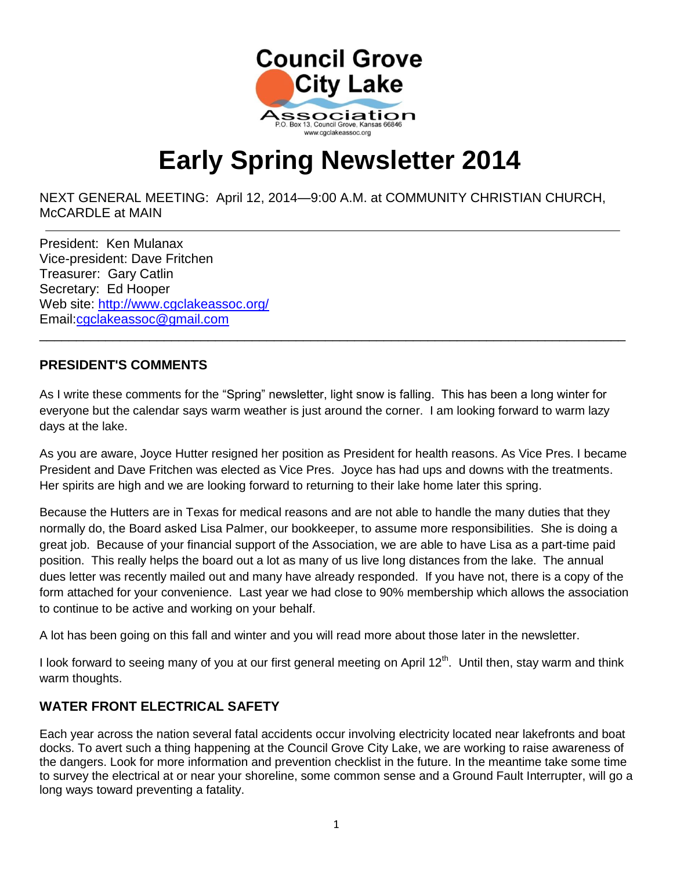

# **Early Spring Newsletter 2014**

NEXT GENERAL MEETING: April 12, 2014—9:00 A.M. at COMMUNITY CHRISTIAN CHURCH, McCARDLE at MAIN

President: Ken Mulanax Vice-president: Dave Fritchen Treasurer: Gary Catlin Secretary: Ed Hooper Web site: http://www.cgclakeassoc.org/ Email[:cgclakeassoc@gmail.com](mailto:cgclakeassoc@gmail.com) 

 $\overline{a}$ 

#### **PRESIDENT'S COMMENTS**

As I write these comments for the "Spring" newsletter, light snow is falling. This has been a long winter for everyone but the calendar says warm weather is just around the corner. I am looking forward to warm lazy days at the lake.

\_\_\_\_\_\_\_\_\_\_\_\_\_\_\_\_\_\_\_\_\_\_\_\_\_\_\_\_\_\_\_\_\_\_\_\_\_\_\_\_\_\_\_\_\_\_\_\_\_\_\_\_\_\_\_\_\_\_\_\_\_\_\_\_\_\_\_\_\_\_\_\_\_\_\_\_\_\_\_\_

As you are aware, Joyce Hutter resigned her position as President for health reasons. As Vice Pres. I became President and Dave Fritchen was elected as Vice Pres. Joyce has had ups and downs with the treatments. Her spirits are high and we are looking forward to returning to their lake home later this spring.

Because the Hutters are in Texas for medical reasons and are not able to handle the many duties that they normally do, the Board asked Lisa Palmer, our bookkeeper, to assume more responsibilities. She is doing a great job. Because of your financial support of the Association, we are able to have Lisa as a part-time paid position. This really helps the board out a lot as many of us live long distances from the lake. The annual dues letter was recently mailed out and many have already responded. If you have not, there is a copy of the form attached for your convenience. Last year we had close to 90% membership which allows the association to continue to be active and working on your behalf.

A lot has been going on this fall and winter and you will read more about those later in the newsletter.

I look forward to seeing many of you at our first general meeting on April  $12<sup>th</sup>$ . Until then, stay warm and think warm thoughts.

# **WATER FRONT ELECTRICAL SAFETY**

Each year across the nation several fatal accidents occur involving electricity located near lakefronts and boat docks. To avert such a thing happening at the Council Grove City Lake, we are working to raise awareness of the dangers. Look for more information and prevention checklist in the future. In the meantime take some time to survey the electrical at or near your shoreline, some common sense and a Ground Fault Interrupter, will go a long ways toward preventing a fatality.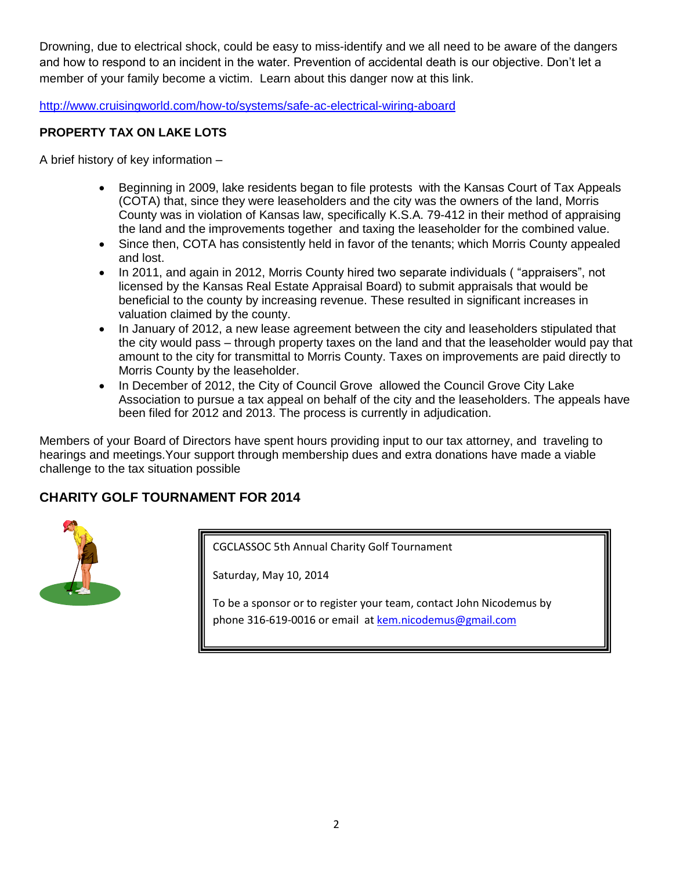Drowning, due to electrical shock, could be easy to miss-identify and we all need to be aware of the dangers and how to respond to an incident in the water. Prevention of accidental death is our objective. Don't let a member of your family become a victim. Learn about this danger now at this link.

<http://www.cruisingworld.com/how-to/systems/safe-ac-electrical-wiring-aboard>

#### **PROPERTY TAX ON LAKE LOTS**

A brief history of key information –

- Beginning in 2009, lake residents began to file protests with the Kansas Court of Tax Appeals (COTA) that, since they were leaseholders and the city was the owners of the land, Morris County was in violation of Kansas law, specifically K.S.A. 79-412 in their method of appraising the land and the improvements together and taxing the leaseholder for the combined value.
- Since then, COTA has consistently held in favor of the tenants; which Morris County appealed and lost.
- In 2011, and again in 2012, Morris County hired two separate individuals ("appraisers", not licensed by the Kansas Real Estate Appraisal Board) to submit appraisals that would be beneficial to the county by increasing revenue. These resulted in significant increases in valuation claimed by the county.
- In January of 2012, a new lease agreement between the city and leaseholders stipulated that the city would pass – through property taxes on the land and that the leaseholder would pay that amount to the city for transmittal to Morris County. Taxes on improvements are paid directly to Morris County by the leaseholder.
- In December of 2012, the City of Council Grove allowed the Council Grove City Lake Association to pursue a tax appeal on behalf of the city and the leaseholders. The appeals have been filed for 2012 and 2013. The process is currently in adjudication.

Members of your Board of Directors have spent hours providing input to our tax attorney, and traveling to hearings and meetings.Your support through membership dues and extra donations have made a viable challenge to the tax situation possible

## **CHARITY GOLF TOURNAMENT FOR 2014**



CGCLASSOC 5th Annual Charity Golf Tournament

Saturday, May 10, 2014

To be a sponsor or to register your team, contact John Nicodemus by phone 316-619-0016 or email at [kem.nicodemus@gmail.com](mailto:kem.nicodemus@gmail.com)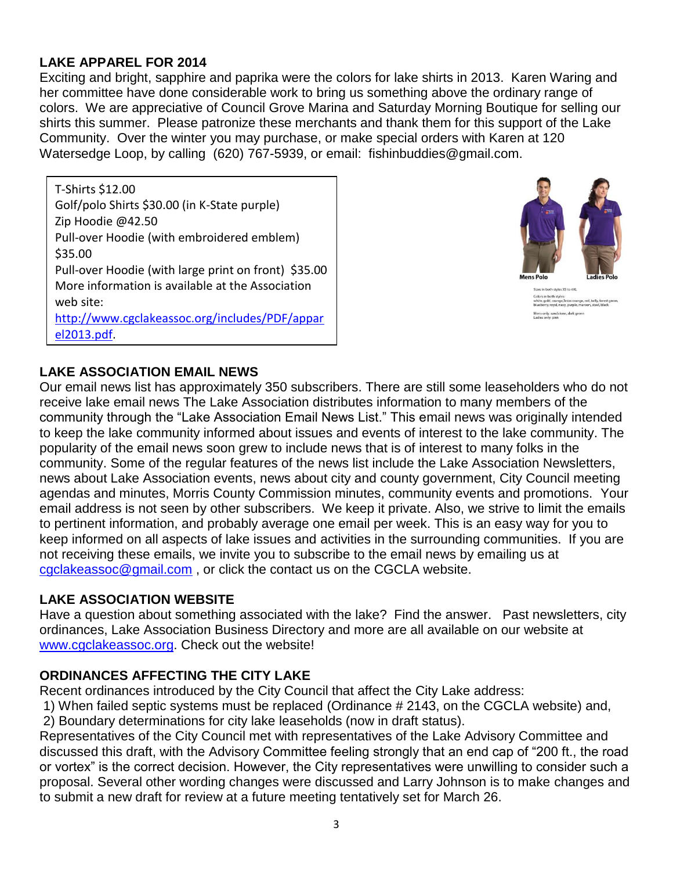## **LAKE APPAREL FOR 2014**

Exciting and bright, sapphire and paprika were the colors for lake shirts in 2013. Karen Waring and her committee have done considerable work to bring us something above the ordinary range of colors. We are appreciative of Council Grove Marina and Saturday Morning Boutique for selling our shirts this summer. Please patronize these merchants and thank them for this support of the Lake Community. Over the winter you may purchase, or make special orders with Karen at 120 Watersedge Loop, by calling (620) 767-5939, or email: fishinbuddies@gmail.com.

T-Shirts \$12.00 Golf/polo Shirts \$30.00 (in K-State purple) Zip Hoodie @42.50 Pull-over Hoodie (with embroidered emblem) \$35.00 Pull-over Hoodie (with large print on front) \$35.00 More information is available at the Association web site: [http://www.cgclakeassoc.org/includes/PDF/appar](http://www.cgclakeassoc.org/includes/PDF/apparel2013.pdf)

[el2013.pdf.](http://www.cgclakeassoc.org/includes/PDF/apparel2013.pdf)



s<br>as orange, red, kelly, forest g<br>numle\_maroon\_steel..hlack

## **LAKE ASSOCIATION EMAIL NEWS**

Our email news list has approximately 350 subscribers. There are still some leaseholders who do not receive lake email news The Lake Association distributes information to many members of the community through the "Lake Association Email News List." This email news was originally intended to keep the lake community informed about issues and events of interest to the lake community. The popularity of the email news soon grew to include news that is of interest to many folks in the community. Some of the regular features of the news list include the Lake Association Newsletters, news about Lake Association events, news about city and county government, City Council meeting agendas and minutes, Morris County Commission minutes, community events and promotions. Your email address is not seen by other subscribers. We keep it private. Also, we strive to limit the emails to pertinent information, and probably average one email per week. This is an easy way for you to keep informed on all aspects of lake issues and activities in the surrounding communities. If you are not receiving these emails, we invite you to subscribe to the email news by emailing us at [cgclakeassoc@gmail.com](mailto:cgclakeassoc@gmail.com) , or click the contact us on the CGCLA website.

## **LAKE ASSOCIATION WEBSITE**

Have a question about something associated with the lake? Find the answer. Past newsletters, city ordinances, Lake Association Business Directory and more are all available on our website at [www.cgclakeassoc.org.](http://www.cgclakeassoc.org/) Check out the website!

## **ORDINANCES AFFECTING THE CITY LAKE**

Recent ordinances introduced by the City Council that affect the City Lake address:

- 1) When failed septic systems must be replaced (Ordinance # 2143, on the CGCLA website) and,
- 2) Boundary determinations for city lake leaseholds (now in draft status).

Representatives of the City Council met with representatives of the Lake Advisory Committee and discussed this draft, with the Advisory Committee feeling strongly that an end cap of "200 ft., the road or vortex" is the correct decision. However, the City representatives were unwilling to consider such a proposal. Several other wording changes were discussed and Larry Johnson is to make changes and to submit a new draft for review at a future meeting tentatively set for March 26.